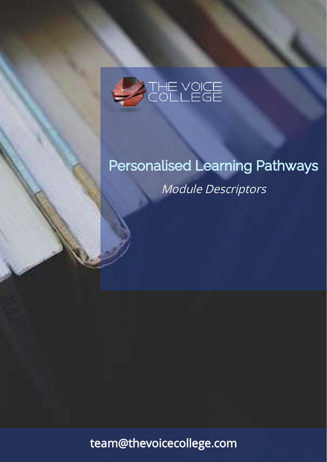

# Personalised Learning Pathways Module Descriptors

team@thevoicecollege.com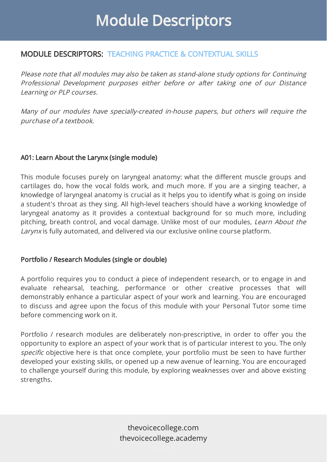## MODULE DESCRIPTORS: TEACHING PRACTICE & CONTEXTUAL SKILLS

Please note that all modules may also be taken as stand-alone study options for Continuing Professional Development purposes either before or after taking one of our Distance Learning or PLP courses.

Many of our modules have specially-created in-house papers, but others will require the purchase of a textbook.

### A01: Learn About the Larynx (single module)

This module focuses purely on laryngeal anatomy: what the different muscle groups and cartilages do, how the vocal folds work, and much more. If you are a singing teacher, a knowledge of laryngeal anatomy is crucial as it helps you to identify what is going on inside a student's throat as they sing. All high-level teachers should have a working knowledge of laryngeal anatomy as it provides a contextual background for so much more, including pitching, breath control, and vocal damage. Unlike most of our modules, *Learn About the Larynx* is fully automated, and delivered via our exclusive online course platform.

### Portfolio / Research Modules (single or double)

A portfolio requires you to conduct a piece of independent research, or to engage in and evaluate rehearsal, teaching, performance or other creative processes that will demonstrably enhance a particular aspect of your work and learning. You are encouraged to discuss and agree upon the focus of this module with your Personal Tutor some time before commencing work on it.

Portfolio / research modules are deliberately non-prescriptive, in order to offer you the opportunity to explore an aspect of your work that is of particular interest to you. The only *specific* objective here is that once complete, your portfolio must be seen to have further developed your existing skills, or opened up a new avenue of learning. You are encouraged to challenge yourself during this module, by exploring weaknesses over and above existing strengths.

> thevoicecollege.com thevoicecollege.academy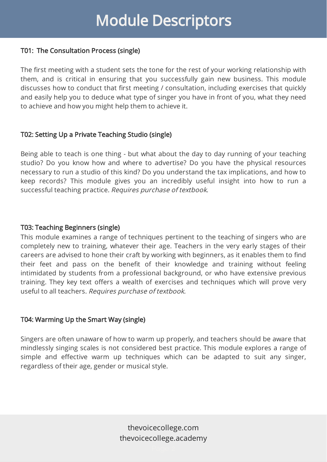#### T01: The Consultation Process (single)

The first meeting with a student sets the tone for the rest of your working relationship with them, and is critical in ensuring that you successfully gain new business. This module discusses how to conduct that first meeting / consultation, including exercises that quickly and easily help you to deduce what type of singer you have in front of you, what they need to achieve and how you might help them to achieve it.

### T02: Setting Up a Private Teaching Studio (single)

Being able to teach is one thing - but what about the day to day running of your teaching studio? Do you know how and where to advertise? Do you have the physical resources necessary to run a studio of this kind? Do you understand the tax implications, and how to keep records? This module gives you an incredibly useful insight into how to run a successful teaching practice. Requires purchase of textbook.

### T03: Teaching Beginners (single)

This module examines a range of techniques pertinent to the teaching of singers who are completely new to training, whatever their age. Teachers in the very early stages of their careers are advised to hone their craft by working with beginners, as it enables them to find their feet and pass on the benefit of their knowledge and training without feeling intimidated by students from a professional background, or who have extensive previous training. They key text offers a wealth of exercises and techniques which will prove very useful to all teachers. Requires purchase of textbook.

### T04: Warming Up the Smart Way (single)

Singers are often unaware of how to warm up properly, and teachers should be aware that mindlessly singing scales is not considered best practice. This module explores a range of simple and effective warm up techniques which can be adapted to suit any singer, regardless of their age, gender or musical style.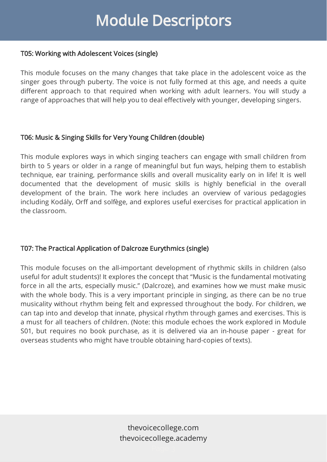### T05: Working with Adolescent Voices (single)

This module focuses on the many changes that take place in the adolescent voice as the singer goes through puberty. The voice is not fully formed at this age, and needs a quite different approach to that required when working with adult learners. You will study a range of approaches that will help you to deal effectively with younger, developing singers.

### T06: Music & Singing Skills for Very Young Children (double)

This module explores ways in which singing teachers can engage with small children from birth to 5 years or older in a range of meaningful but fun ways, helping them to establish technique, ear training, performance skills and overall musicality early on in life! It is well documented that the development of music skills is highly beneficial in the overall development of the brain. The work here includes an overview of various pedagogies including Kodály, Orff and solfège, and explores useful exercises for practical application in the classroom.

## T07: The Practical Application of Dalcroze Eurythmics (single)

This module focuses on the all-important development of rhythmic skills in children (also useful for adult students)! It explores the concept that "Music is the fundamental motivating force in all the arts, especially music." (Dalcroze), and examines how we must make music with the whole body. This is a very important principle in singing, as there can be no true musicality without rhythm being felt and expressed throughout the body. For children, we can tap into and develop that innate, physical rhythm through games and exercises. This is a must for all teachers of children. (Note: this module echoes the work explored in Module S01, but requires no book purchase, as it is delivered via an in-house paper - great for overseas students who might have trouble obtaining hard-copies of texts).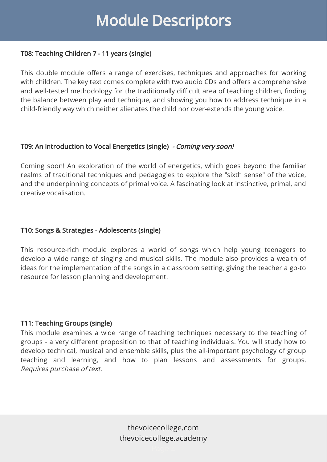### T08: Teaching Children 7 - 11 years (single)

This double module offers a range of exercises, techniques and approaches for working with children. The key text comes complete with two audio CDs and offers a comprehensive and well-tested methodology for the traditionally difficult area of teaching children, finding the balance between play and technique, and showing you how to address technique in a child-friendly way which neither alienates the child nor over-extends the young voice.

### T09: An Introduction to Vocal Energetics (single) - Coming very soon!

Coming soon! An exploration of the world of energetics, which goes beyond the familiar realms of traditional techniques and pedagogies to explore the "sixth sense" of the voice, and the underpinning concepts of primal voice. A fascinating look at instinctive, primal, and creative vocalisation.

### T10: Songs & Strategies - Adolescents (single)

This resource-rich module explores a world of songs which help young teenagers to develop a wide range of singing and musical skills. The module also provides a wealth of ideas for the implementation of the songs in a classroom setting, giving the teacher a go-to resource for lesson planning and development.

### T11: Teaching Groups (single)

This module examines a wide range of teaching techniques necessary to the teaching of groups - a very different proposition to that of teaching individuals. You will study how to develop technical, musical and ensemble skills, plus the all-important psychology of group teaching and learning, and how to plan lessons and assessments for groups. Requires purchase of text.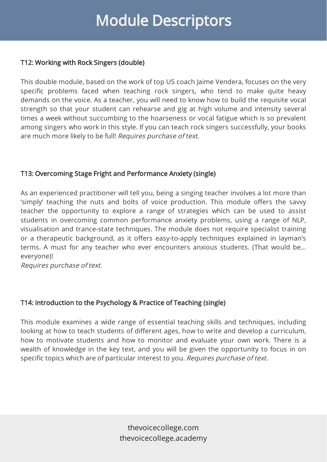### T12: Working with Rock Singers (double)

This double module, based on the work of top US coach Jaime Vendera, focuses on the very specific problems faced when teaching rock singers, who tend to make quite heavy demands on the voice. As a teacher, you will need to know how to build the requisite vocal strength so that your student can rehearse and gig at high volume and intensity several times a week without succumbing to the hoarseness or vocal fatigue which is so prevalent among singers who work in this style. If you can teach rock singers successfully, your books are much more likely to be full! Requires purchase of text.

### T13: Overcoming Stage Fright and Performance Anxiety (single)

As an experienced practitioner will tell you, being a singing teacher involves a lot more than 'simply' teaching the nuts and bolts of voice production. This module offers the savvy teacher the opportunity to explore a range of strategies which can be used to assist students in overcoming common performance anxiety problems, using a range of NLP, visualisation and trance-state techniques. The module does not require specialist training or a therapeutic background, as it offers easy-to-apply techniques explained in layman's terms. A must for any teacher who ever encounters anxious students. (That would be… everyone)!

Requires purchase of text.

## T14: Introduction to the Psychology & Practice of Teaching (single)

This module examines a wide range of essential teaching skills and techniques, including looking at how to teach students of different ages, how to write and develop a curriculum, how to motivate students and how to monitor and evaluate your own work. There is a wealth of knowledge in the key text, and you will be given the opportunity to focus in on specific topics which are of particular interest to you. Requires purchase of text.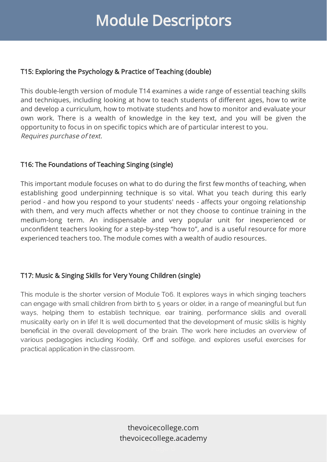### T15: Exploring the Psychology & Practice of Teaching (double)

This double-length version of module T14 examines a wide range of essential teaching skills and techniques, including looking at how to teach students of different ages, how to write and develop a curriculum, how to motivate students and how to monitor and evaluate your own work. There is a wealth of knowledge in the key text, and you will be given the opportunity to focus in on specific topics which are of particular interest to you. Requires purchase of text.

## T16: The Foundations of Teaching Singing (single)

This important module focuses on what to do during the first few months of teaching, when establishing good underpinning technique is so vital. What you teach during this early period - and how you respond to your students' needs - affects your ongoing relationship with them, and very much affects whether or not they choose to continue training in the medium-long term. An indispensable and very popular unit for inexperienced or unconfident teachers looking for a step-by-step "how to", and is a useful resource for more experienced teachers too. The module comes with a wealth of audio resources.

## T17: Music & Singing Skills for Very Young Children (single)

This module is the shorter version of Module T06. It explores ways in which singing teachers can engage with small children from birth to 5 years or older, in a range of meaningful but fun ways, helping them to establish technique, ear training, performance skills and overall musicality early on in life! It is well documented that the development of music skills is highly beneficial in the overall development of the brain. The work here includes an overview of various pedagogies including Kodály, Orff and solfège, and explores useful exercises for practical application in the classroom.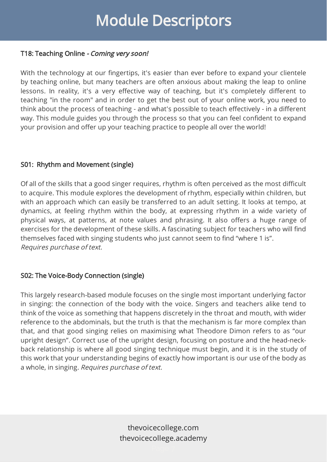### T18: Teaching Online - Coming very soon!

With the technology at our fingertips, it's easier than ever before to expand your clientele by teaching online, but many teachers are often anxious about making the leap to online lessons. In reality, it's a very effective way of teaching, but it's completely different to teaching "in the room" and in order to get the best out of your online work, you need to think about the process of teaching - and what's possible to teach effectively - in a different way. This module guides you through the process so that you can feel confident to expand your provision and offer up your teaching practice to people all over the world!

### S01: Rhythm and Movement (single)

Of all of the skills that a good singer requires, rhythm is often perceived as the most difficult to acquire. This module explores the development of rhythm, especially within children, but with an approach which can easily be transferred to an adult setting. It looks at tempo, at dynamics, at feeling rhythm within the body, at expressing rhythm in a wide variety of physical ways, at patterns, at note values and phrasing. It also offers a huge range of exercises for the development of these skills. A fascinating subject for teachers who will find themselves faced with singing students who just cannot seem to find "where 1 is". Requires purchase of text.

## S02: The Voice-Body Connection (single)

This largely research-based module focuses on the single most important underlying factor in singing: the connection of the body with the voice. Singers and teachers alike tend to think of the voice as something that happens discretely in the throat and mouth, with wider reference to the abdominals, but the truth is that the mechanism is far more complex than that, and that good singing relies on maximising what Theodore Dimon refers to as "our upright design". Correct use of the upright design, focusing on posture and the head-neckback relationship is where all good singing technique must begin, and it is in the study of this work that your understanding begins of exactly how important is our use of the body as a whole, in singing. Requires purchase of text.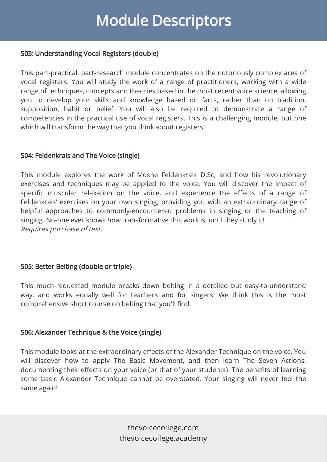#### S03: Understanding Vocal Registers (double)

This part-practical, part-research module concentrates on the notoriously complex area of vocal registers. You will study the work of a range of practitioners, working with a wide range of techniques, concepts and theories based in the most recent voice science, allowing you to develop your skills and knowledge based on facts, rather than on tradition, supposition, habit or belief. You will also be required to demonstrate a range of competencies in the practical use of vocal registers. This is a challenging module, but one which will transform the way that you think about registers!

### S04: Feldenkrais and The Voice (single)

This module explores the work of Moshe Feldenkrais D.Sc, and how his revolutionary exercises and techniques may be applied to the voice. You will discover the impact of specific muscular relaxation on the voice, and experience the effects of a range of Feldenkrais' exercises on your own singing, providing you with an extraordinary range of helpful approaches to commonly-encountered problems in singing or the teaching of singing. No-one ever knows how transformative this work is, until they study it! Requires purchase of text.

### S05: Better Belting (double or triple)

This much-requested module breaks down belting in a detailed but easy-to-understand way, and works equally well for teachers and for singers. We think this is the most comprehensive short course on belting that you'll find.

#### S06: Alexander Technique & the Voice (single)

This module looks at the extraordinary effects of the Alexander Technique on the voice. You will discover how to apply The Basic Movement, and then learn The Seven Actions, documenting their effects on your voice (or that of your students). The benefits of learning some basic Alexander Technique cannot be overstated. Your singing will never feel the same again!

> thevoicecollege.com thevoicecollege.academy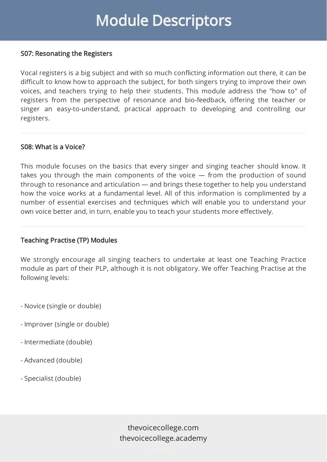#### S07: Resonating the Registers

Vocal registers is a big subject and with so much conflicting information out there, it can be difficult to know how to approach the subject, for both singers trying to improve their own voices, and teachers trying to help their students. This module address the "how to" of registers from the perspective of resonance and bio-feedback, offering the teacher or singer an easy-to-understand, practical approach to developing and controlling our registers.

#### S08: What is a Voice?

This module focuses on the basics that every singer and singing teacher should know. It takes you through the main components of the voice — from the production of sound through to resonance and articulation — and brings these together to help you understand how the voice works at a fundamental level. All of this information is complimented by a number of essential exercises and techniques which will enable you to understand your own voice better and, in turn, enable you to teach your students more effectively.

#### Teaching Practise (TP) Modules

We strongly encourage all singing teachers to undertake at least one Teaching Practice module as part of their PLP, although it is not obligatory. We offer Teaching Practise at the following levels:

- Novice (single or double)
- Improver (single or double)
- Intermediate (double)
- Advanced (double)
- Specialist (double)

thevoicecollege.com thevoicecollege.academy